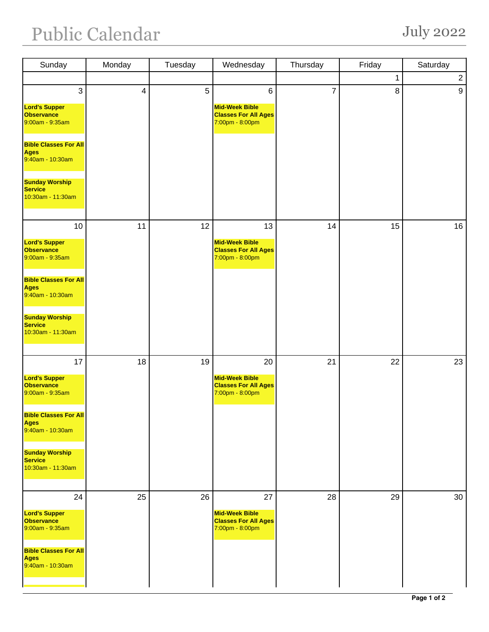## Public Calendar July 2022

| Sunday                                                                                                                                | Monday                  | Tuesday | Wednesday                                                                          | Thursday       | Friday | Saturday       |
|---------------------------------------------------------------------------------------------------------------------------------------|-------------------------|---------|------------------------------------------------------------------------------------|----------------|--------|----------------|
|                                                                                                                                       |                         |         |                                                                                    |                | 1      | $\overline{c}$ |
| 3<br><b>Lord's Supper</b><br><b>Observance</b><br>9:00am - 9:35am<br><b>Bible Classes For All</b><br><b>Ages</b>                      | $\overline{\mathbf{4}}$ | 5       | $\,6\,$<br><b>Mid-Week Bible</b><br><b>Classes For All Ages</b><br>7:00pm - 8:00pm | $\overline{7}$ | 8      | 9              |
| 9:40am - 10:30am<br><b>Sunday Worship</b><br><b>Service</b><br>10:30am - 11:30am                                                      |                         |         |                                                                                    |                |        |                |
| 10<br><b>Lord's Supper</b><br><b>Observance</b><br>9:00am - 9:35am                                                                    | 11                      | 12      | 13<br><b>Mid-Week Bible</b><br><b>Classes For All Ages</b><br>7:00pm - 8:00pm      | 14             | 15     | 16             |
| <b>Bible Classes For All</b><br><b>Ages</b><br>9:40am - 10:30am<br><b>Sunday Worship</b><br><b>Service</b><br>10:30am - 11:30am       |                         |         |                                                                                    |                |        |                |
|                                                                                                                                       |                         |         |                                                                                    |                |        |                |
| 17<br><b>Lord's Supper</b><br><b>Observance</b><br>9:00am - 9:35am                                                                    | 18                      | 19      | 20<br><b>Mid-Week Bible</b><br><b>Classes For All Ages</b><br>7:00pm - 8:00pm      | 21             | 22     | 23             |
| <b>Bible Classes For All</b><br><b>Ages</b><br>9:40am - 10:30am                                                                       |                         |         |                                                                                    |                |        |                |
| <b>Sunday Worship</b><br><b>Service</b><br>10:30am - 11:30am                                                                          |                         |         |                                                                                    |                |        |                |
| 24<br><b>Lord's Supper</b><br><b>Observance</b><br>9:00am - 9:35am<br><b>Bible Classes For All</b><br><b>Ages</b><br>9:40am - 10:30am | 25                      | 26      | 27<br><b>Mid-Week Bible</b><br><b>Classes For All Ages</b><br>7:00pm - 8:00pm      | 28             | 29     | 30             |
|                                                                                                                                       |                         |         |                                                                                    |                |        |                |